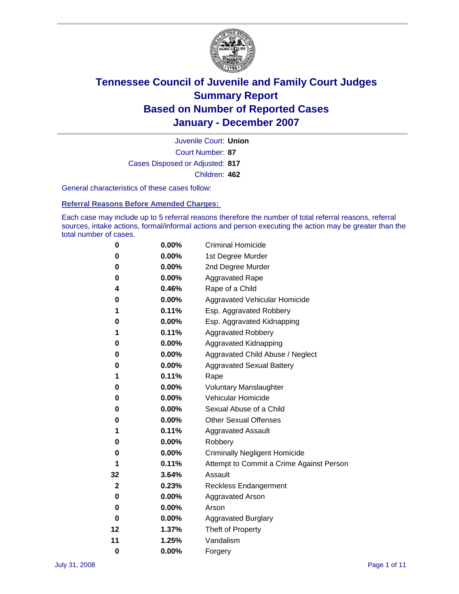

Court Number: **87** Juvenile Court: **Union** Cases Disposed or Adjusted: **817** Children: **462**

General characteristics of these cases follow:

**Referral Reasons Before Amended Charges:** 

Each case may include up to 5 referral reasons therefore the number of total referral reasons, referral sources, intake actions, formal/informal actions and person executing the action may be greater than the total number of cases.

| 0        | 0.00%    | <b>Criminal Homicide</b>                 |
|----------|----------|------------------------------------------|
| 0        | 0.00%    | 1st Degree Murder                        |
| 0        | 0.00%    | 2nd Degree Murder                        |
| 0        | 0.00%    | <b>Aggravated Rape</b>                   |
| 4        | 0.46%    | Rape of a Child                          |
| 0        | 0.00%    | Aggravated Vehicular Homicide            |
| 1        | 0.11%    | Esp. Aggravated Robbery                  |
| 0        | 0.00%    | Esp. Aggravated Kidnapping               |
| 1        | 0.11%    | <b>Aggravated Robbery</b>                |
| 0        | 0.00%    | Aggravated Kidnapping                    |
| 0        | 0.00%    | Aggravated Child Abuse / Neglect         |
| 0        | 0.00%    | <b>Aggravated Sexual Battery</b>         |
| 1        | 0.11%    | Rape                                     |
| 0        | 0.00%    | <b>Voluntary Manslaughter</b>            |
| 0        | 0.00%    | Vehicular Homicide                       |
| 0        | $0.00\%$ | Sexual Abuse of a Child                  |
| 0        | 0.00%    | <b>Other Sexual Offenses</b>             |
| 1        | 0.11%    | <b>Aggravated Assault</b>                |
| 0        | 0.00%    | Robbery                                  |
| 0        | $0.00\%$ | <b>Criminally Negligent Homicide</b>     |
| 1        | 0.11%    | Attempt to Commit a Crime Against Person |
| 32       | 3.64%    | Assault                                  |
| 2        | 0.23%    | <b>Reckless Endangerment</b>             |
| 0        | $0.00\%$ | <b>Aggravated Arson</b>                  |
| 0        | 0.00%    | Arson                                    |
| 0        | 0.00%    | <b>Aggravated Burglary</b>               |
| 12       | 1.37%    | Theft of Property                        |
| 11       | 1.25%    | Vandalism                                |
| $\bf{0}$ | 0.00%    | Forgery                                  |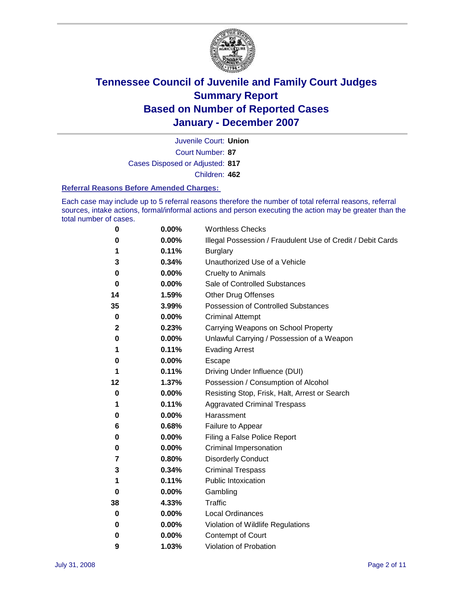

Court Number: **87** Juvenile Court: **Union** Cases Disposed or Adjusted: **817** Children: **462**

#### **Referral Reasons Before Amended Charges:**

Each case may include up to 5 referral reasons therefore the number of total referral reasons, referral sources, intake actions, formal/informal actions and person executing the action may be greater than the total number of cases.

| 0        | 0.00%    | <b>Worthless Checks</b>                                     |
|----------|----------|-------------------------------------------------------------|
| 0        | 0.00%    | Illegal Possession / Fraudulent Use of Credit / Debit Cards |
| 1        | 0.11%    | <b>Burglary</b>                                             |
| 3        | 0.34%    | Unauthorized Use of a Vehicle                               |
| 0        | 0.00%    | <b>Cruelty to Animals</b>                                   |
| 0        | $0.00\%$ | Sale of Controlled Substances                               |
| 14       | 1.59%    | <b>Other Drug Offenses</b>                                  |
| 35       | 3.99%    | <b>Possession of Controlled Substances</b>                  |
| $\bf{0}$ | 0.00%    | <b>Criminal Attempt</b>                                     |
| 2        | 0.23%    | Carrying Weapons on School Property                         |
| 0        | 0.00%    | Unlawful Carrying / Possession of a Weapon                  |
| 1        | 0.11%    | <b>Evading Arrest</b>                                       |
| 0        | 0.00%    | Escape                                                      |
| 1        | 0.11%    | Driving Under Influence (DUI)                               |
| 12       | 1.37%    | Possession / Consumption of Alcohol                         |
| 0        | 0.00%    | Resisting Stop, Frisk, Halt, Arrest or Search               |
| 1        | 0.11%    | <b>Aggravated Criminal Trespass</b>                         |
| 0        | 0.00%    | Harassment                                                  |
| 6        | 0.68%    | Failure to Appear                                           |
| 0        | 0.00%    | Filing a False Police Report                                |
| 0        | 0.00%    | Criminal Impersonation                                      |
| 7        | 0.80%    | <b>Disorderly Conduct</b>                                   |
| 3        | 0.34%    | <b>Criminal Trespass</b>                                    |
| 1        | 0.11%    | <b>Public Intoxication</b>                                  |
| 0        | $0.00\%$ | Gambling                                                    |
| 38       | 4.33%    | <b>Traffic</b>                                              |
| 0        | 0.00%    | <b>Local Ordinances</b>                                     |
| 0        | 0.00%    | Violation of Wildlife Regulations                           |
| 0        | $0.00\%$ | Contempt of Court                                           |
| 9        | 1.03%    | Violation of Probation                                      |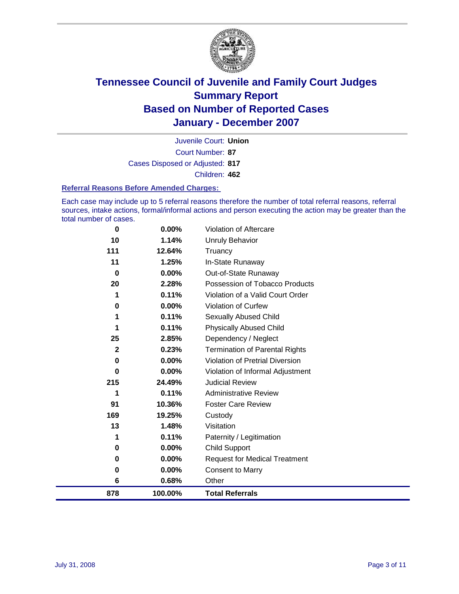

Court Number: **87** Juvenile Court: **Union** Cases Disposed or Adjusted: **817** Children: **462**

#### **Referral Reasons Before Amended Charges:**

Each case may include up to 5 referral reasons therefore the number of total referral reasons, referral sources, intake actions, formal/informal actions and person executing the action may be greater than the total number of cases.

| 878          | 100.00%  | <b>Total Referrals</b>                |
|--------------|----------|---------------------------------------|
| 6            | 0.68%    | Other                                 |
| 0            | 0.00%    | <b>Consent to Marry</b>               |
| 0            | 0.00%    | <b>Request for Medical Treatment</b>  |
| 0            | $0.00\%$ | Child Support                         |
| 1            | 0.11%    | Paternity / Legitimation              |
| 13           | 1.48%    | Visitation                            |
| 169          | 19.25%   | Custody                               |
| 91           | 10.36%   | <b>Foster Care Review</b>             |
| 1            | 0.11%    | <b>Administrative Review</b>          |
| 215          | 24.49%   | <b>Judicial Review</b>                |
| 0            | 0.00%    | Violation of Informal Adjustment      |
| 0            | 0.00%    | Violation of Pretrial Diversion       |
| $\mathbf{2}$ | 0.23%    | <b>Termination of Parental Rights</b> |
| 25           | 2.85%    | Dependency / Neglect                  |
| 1            | 0.11%    | <b>Physically Abused Child</b>        |
| 1            | 0.11%    | <b>Sexually Abused Child</b>          |
| 0            | 0.00%    | <b>Violation of Curfew</b>            |
| 1            | 0.11%    | Violation of a Valid Court Order      |
| 20           | 2.28%    | Possession of Tobacco Products        |
| 0            | 0.00%    | Out-of-State Runaway                  |
| 11           | 1.25%    | In-State Runaway                      |
| 111          | 12.64%   | Truancy                               |
| 10           | 1.14%    | <b>Unruly Behavior</b>                |
| 0            | 0.00%    | Violation of Aftercare                |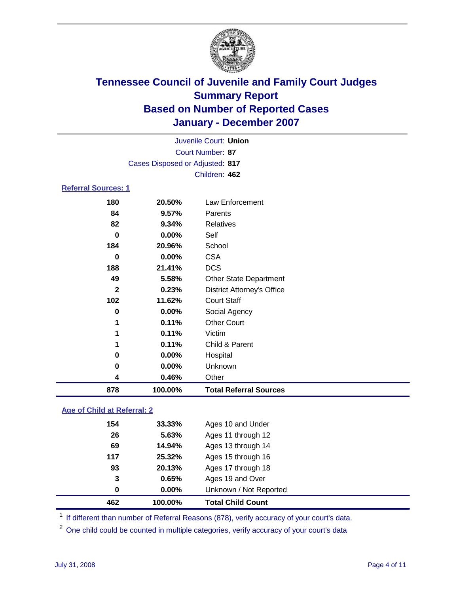

|                            |                                 | Juvenile Court: Union             |
|----------------------------|---------------------------------|-----------------------------------|
|                            |                                 | Court Number: 87                  |
|                            | Cases Disposed or Adjusted: 817 |                                   |
|                            |                                 | Children: 462                     |
| <b>Referral Sources: 1</b> |                                 |                                   |
| 180                        | 20.50%                          | Law Enforcement                   |
| 84                         | 9.57%                           | Parents                           |
| 82                         | 9.34%                           | <b>Relatives</b>                  |
| 0                          | $0.00\%$                        | Self                              |
| 184                        | 20.96%                          | School                            |
| 0                          | 0.00%                           | <b>CSA</b>                        |
| 188                        | 21.41%                          | <b>DCS</b>                        |
| 49                         | 5.58%                           | <b>Other State Department</b>     |
| $\mathbf{2}$               | 0.23%                           | <b>District Attorney's Office</b> |
| 102                        | 11.62%                          | <b>Court Staff</b>                |
| 0                          | $0.00\%$                        | Social Agency                     |
| 1                          | 0.11%                           | <b>Other Court</b>                |
| 1                          | 0.11%                           | Victim                            |
| 1                          | 0.11%                           | Child & Parent                    |
| 0                          | $0.00\%$                        | Hospital                          |

### **0.00%** Unknown **0.46%** Other **100.00% Total Referral Sources**

### **Age of Child at Referral: 2**

| 462 | 100.00%  | <b>Total Child Count</b> |
|-----|----------|--------------------------|
| 0   | $0.00\%$ | Unknown / Not Reported   |
| 3   | 0.65%    | Ages 19 and Over         |
| 93  | 20.13%   | Ages 17 through 18       |
| 117 | 25.32%   | Ages 15 through 16       |
| 69  | 14.94%   | Ages 13 through 14       |
| 26  | 5.63%    | Ages 11 through 12       |
| 154 | 33.33%   | Ages 10 and Under        |
|     |          |                          |

<sup>1</sup> If different than number of Referral Reasons (878), verify accuracy of your court's data.

<sup>2</sup> One child could be counted in multiple categories, verify accuracy of your court's data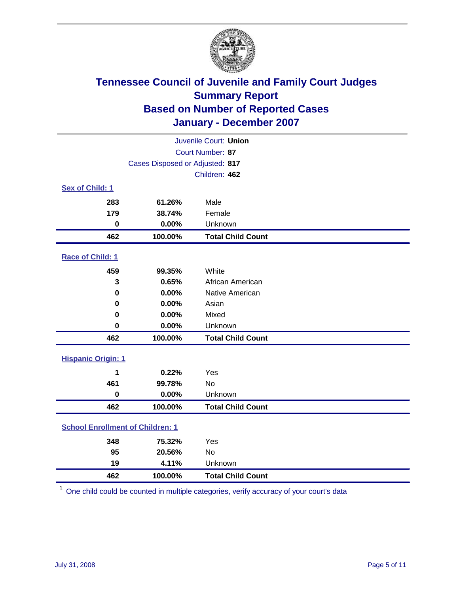

| Juvenile Court: Union                   |                                 |                          |  |  |  |  |
|-----------------------------------------|---------------------------------|--------------------------|--|--|--|--|
| Court Number: 87                        |                                 |                          |  |  |  |  |
|                                         | Cases Disposed or Adjusted: 817 |                          |  |  |  |  |
|                                         |                                 | Children: 462            |  |  |  |  |
| Sex of Child: 1                         |                                 |                          |  |  |  |  |
| 283                                     | 61.26%                          | Male                     |  |  |  |  |
| 179                                     | 38.74%                          | Female                   |  |  |  |  |
| $\bf{0}$                                | 0.00%                           | Unknown                  |  |  |  |  |
| 462                                     | 100.00%                         | <b>Total Child Count</b> |  |  |  |  |
| Race of Child: 1                        |                                 |                          |  |  |  |  |
| 459                                     | 99.35%                          | White                    |  |  |  |  |
| 3                                       | 0.65%                           | African American         |  |  |  |  |
| 0                                       | 0.00%                           | Native American          |  |  |  |  |
| 0                                       | 0.00%                           | Asian                    |  |  |  |  |
| 0                                       | 0.00%                           | Mixed                    |  |  |  |  |
| $\bf{0}$                                | 0.00%                           | Unknown                  |  |  |  |  |
| 462                                     | 100.00%                         | <b>Total Child Count</b> |  |  |  |  |
| <b>Hispanic Origin: 1</b>               |                                 |                          |  |  |  |  |
| 1                                       | 0.22%                           | Yes                      |  |  |  |  |
| 461                                     | 99.78%                          | No                       |  |  |  |  |
| $\mathbf 0$                             | 0.00%                           | Unknown                  |  |  |  |  |
| 462                                     | 100.00%                         | <b>Total Child Count</b> |  |  |  |  |
| <b>School Enrollment of Children: 1</b> |                                 |                          |  |  |  |  |
| 348                                     | 75.32%                          | Yes                      |  |  |  |  |
| 95                                      | 20.56%                          | No                       |  |  |  |  |
| 19                                      | 4.11%                           | Unknown                  |  |  |  |  |
| 462                                     | 100.00%                         | <b>Total Child Count</b> |  |  |  |  |

One child could be counted in multiple categories, verify accuracy of your court's data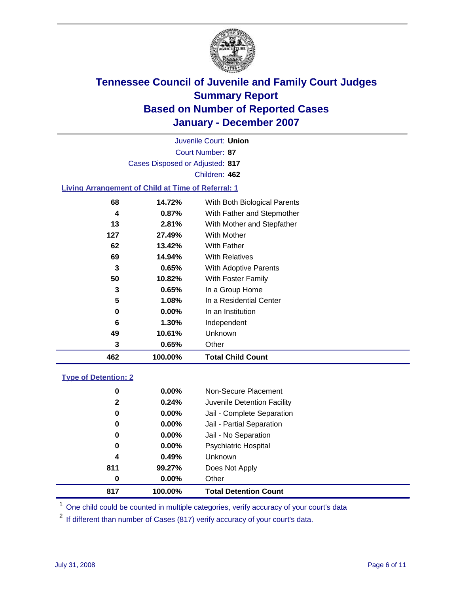

|    |                                                           | Juvenile Court: Union        |  |
|----|-----------------------------------------------------------|------------------------------|--|
|    |                                                           | Court Number: 87             |  |
|    | Cases Disposed or Adjusted: 817                           |                              |  |
|    |                                                           | Children: 462                |  |
|    | <b>Living Arrangement of Child at Time of Referral: 1</b> |                              |  |
| 68 | 14.72%                                                    | With Both Biological Parents |  |
| л  | 0.070/                                                    | With Eather and Ctanmather   |  |

| 462 | 100.00%  | <b>Total Child Count</b>   |  |
|-----|----------|----------------------------|--|
| 3   | 0.65%    | Other                      |  |
| 49  | 10.61%   | Unknown                    |  |
| 6   | 1.30%    | Independent                |  |
| 0   | $0.00\%$ | In an Institution          |  |
| 5   | 1.08%    | In a Residential Center    |  |
| 3   | 0.65%    | In a Group Home            |  |
| 50  | 10.82%   | With Foster Family         |  |
| 3   | 0.65%    | With Adoptive Parents      |  |
| 69  | 14.94%   | <b>With Relatives</b>      |  |
| 62  | 13.42%   | With Father                |  |
| 127 | 27.49%   | <b>With Mother</b>         |  |
| 13  | 2.81%    | With Mother and Stepfather |  |
| 4   | 0.87%    | With Father and Stepmother |  |
|     |          |                            |  |

### **Type of Detention: 2**

| 817          | 100.00%  | <b>Total Detention Count</b> |
|--------------|----------|------------------------------|
| 0            | $0.00\%$ | Other                        |
| 811          | 99.27%   | Does Not Apply               |
| 4            | 0.49%    | <b>Unknown</b>               |
| 0            | $0.00\%$ | <b>Psychiatric Hospital</b>  |
| 0            | 0.00%    | Jail - No Separation         |
| 0            | $0.00\%$ | Jail - Partial Separation    |
| 0            | $0.00\%$ | Jail - Complete Separation   |
| $\mathbf{2}$ | 0.24%    | Juvenile Detention Facility  |
| 0            | $0.00\%$ | Non-Secure Placement         |
|              |          |                              |

<sup>1</sup> One child could be counted in multiple categories, verify accuracy of your court's data

<sup>2</sup> If different than number of Cases (817) verify accuracy of your court's data.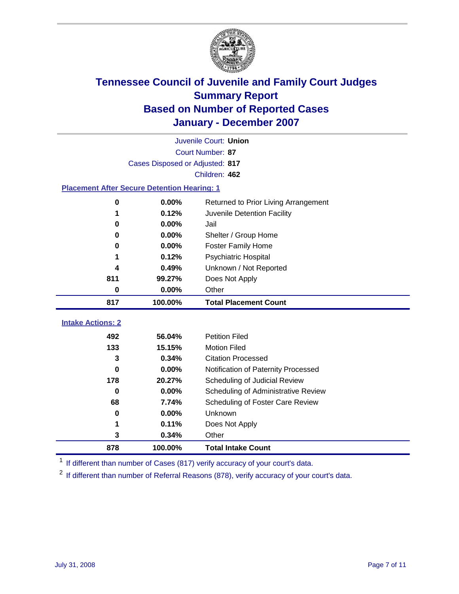

|                                                    | Juvenile Court: Union |                                      |  |  |  |  |  |
|----------------------------------------------------|-----------------------|--------------------------------------|--|--|--|--|--|
|                                                    | Court Number: 87      |                                      |  |  |  |  |  |
| Cases Disposed or Adjusted: 817                    |                       |                                      |  |  |  |  |  |
|                                                    | Children: 462         |                                      |  |  |  |  |  |
| <b>Placement After Secure Detention Hearing: 1</b> |                       |                                      |  |  |  |  |  |
| 0                                                  | 0.00%                 | Returned to Prior Living Arrangement |  |  |  |  |  |
| 1                                                  | 0.12%                 | Juvenile Detention Facility          |  |  |  |  |  |
| $\bf{0}$                                           | 0.00%                 | Jail                                 |  |  |  |  |  |
| $\bf{0}$                                           | 0.00%                 | Shelter / Group Home                 |  |  |  |  |  |
| 0                                                  | 0.00%                 | <b>Foster Family Home</b>            |  |  |  |  |  |
| 1                                                  | 0.12%                 | Psychiatric Hospital                 |  |  |  |  |  |
| 4                                                  | 0.49%                 | Unknown / Not Reported               |  |  |  |  |  |
| 811                                                | 99.27%                | Does Not Apply                       |  |  |  |  |  |
| $\bf{0}$                                           | 0.00%                 | Other                                |  |  |  |  |  |
| 817                                                | 100.00%               | <b>Total Placement Count</b>         |  |  |  |  |  |
| <b>Intake Actions: 2</b>                           |                       |                                      |  |  |  |  |  |
|                                                    |                       |                                      |  |  |  |  |  |
| 492                                                | 56.04%                | <b>Petition Filed</b>                |  |  |  |  |  |
| 133                                                | 15.15%                | <b>Motion Filed</b>                  |  |  |  |  |  |
| 3                                                  | 0.34%                 | <b>Citation Processed</b>            |  |  |  |  |  |
| $\bf{0}$                                           | 0.00%                 | Notification of Paternity Processed  |  |  |  |  |  |
| 178                                                | 20.27%                | Scheduling of Judicial Review        |  |  |  |  |  |
| $\bf{0}$                                           | 0.00%                 | Scheduling of Administrative Review  |  |  |  |  |  |
| 68                                                 | 7.74%                 | Scheduling of Foster Care Review     |  |  |  |  |  |
| $\bf{0}$                                           | 0.00%                 | Unknown                              |  |  |  |  |  |
| 1                                                  | 0.11%                 | Does Not Apply                       |  |  |  |  |  |
| 3                                                  | 0.34%                 | Other                                |  |  |  |  |  |
| 878                                                | 100.00%               | <b>Total Intake Count</b>            |  |  |  |  |  |

<sup>1</sup> If different than number of Cases (817) verify accuracy of your court's data.

<sup>2</sup> If different than number of Referral Reasons (878), verify accuracy of your court's data.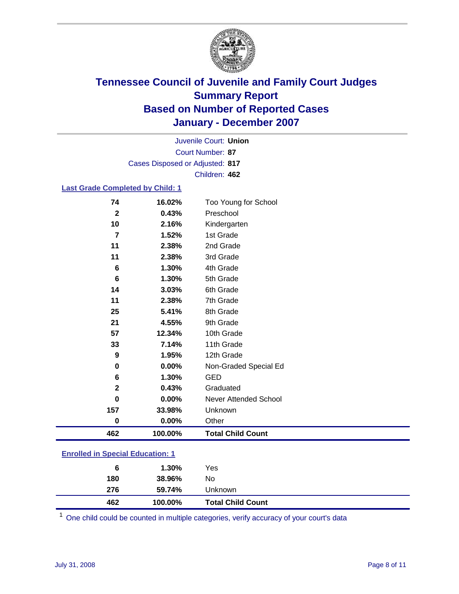

Court Number: **87** Juvenile Court: **Union** Cases Disposed or Adjusted: **817** Children: **462**

#### **Last Grade Completed by Child: 1**

| 74             | 16.02%  | Too Young for School     |
|----------------|---------|--------------------------|
| $\mathbf 2$    | 0.43%   | Preschool                |
| 10             | 2.16%   | Kindergarten             |
| $\overline{7}$ | 1.52%   | 1st Grade                |
| 11             | 2.38%   | 2nd Grade                |
| 11             | 2.38%   | 3rd Grade                |
| 6              | 1.30%   | 4th Grade                |
| 6              | 1.30%   | 5th Grade                |
| 14             | 3.03%   | 6th Grade                |
| 11             | 2.38%   | 7th Grade                |
| 25             | 5.41%   | 8th Grade                |
| 21             | 4.55%   | 9th Grade                |
| 57             | 12.34%  | 10th Grade               |
| 33             | 7.14%   | 11th Grade               |
| 9              | 1.95%   | 12th Grade               |
| $\pmb{0}$      | 0.00%   | Non-Graded Special Ed    |
| 6              | 1.30%   | <b>GED</b>               |
| $\mathbf{2}$   | 0.43%   | Graduated                |
| $\bf{0}$       | 0.00%   | Never Attended School    |
| 157            | 33.98%  | Unknown                  |
| $\bf{0}$       | 0.00%   | Other                    |
| 462            | 100.00% | <b>Total Child Count</b> |

#### **Enrolled in Special Education: 1**

| 462 | 100.00%  | <b>Total Child Count</b> |  |
|-----|----------|--------------------------|--|
| 276 | 59.74%   | Unknown                  |  |
| 180 | 38.96%   | No                       |  |
| 6   | $1.30\%$ | Yes                      |  |
|     |          |                          |  |

<sup>1</sup> One child could be counted in multiple categories, verify accuracy of your court's data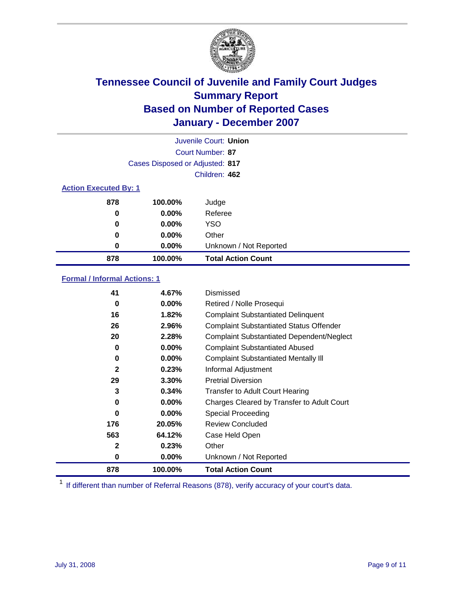

|                              |                                 | Juvenile Court: Union     |
|------------------------------|---------------------------------|---------------------------|
|                              |                                 | Court Number: 87          |
|                              | Cases Disposed or Adjusted: 817 |                           |
|                              |                                 | Children: 462             |
| <b>Action Executed By: 1</b> |                                 |                           |
| 878                          | 100.00%                         | Judge                     |
| 0                            | $0.00\%$                        | Referee                   |
| 0                            | $0.00\%$                        | <b>YSO</b>                |
| 0                            | $0.00\%$                        | Other                     |
| 0                            | $0.00\%$                        | Unknown / Not Reported    |
| 878                          | 100.00%                         | <b>Total Action Count</b> |

### **Formal / Informal Actions: 1**

| 41          | 4.67%    | Dismissed                                        |
|-------------|----------|--------------------------------------------------|
| 0           | $0.00\%$ | Retired / Nolle Prosequi                         |
| 16          | 1.82%    | <b>Complaint Substantiated Delinquent</b>        |
| 26          | 2.96%    | <b>Complaint Substantiated Status Offender</b>   |
| 20          | 2.28%    | <b>Complaint Substantiated Dependent/Neglect</b> |
| 0           | $0.00\%$ | <b>Complaint Substantiated Abused</b>            |
| 0           | $0.00\%$ | <b>Complaint Substantiated Mentally III</b>      |
| $\mathbf 2$ | 0.23%    | Informal Adjustment                              |
| 29          | 3.30%    | <b>Pretrial Diversion</b>                        |
| 3           | 0.34%    | <b>Transfer to Adult Court Hearing</b>           |
| 0           | $0.00\%$ | Charges Cleared by Transfer to Adult Court       |
| 0           | $0.00\%$ | Special Proceeding                               |
| 176         | 20.05%   | <b>Review Concluded</b>                          |
| 563         | 64.12%   | Case Held Open                                   |
| 2           | 0.23%    | Other                                            |
| 0           | $0.00\%$ | Unknown / Not Reported                           |
| 878         | 100.00%  | <b>Total Action Count</b>                        |

<sup>1</sup> If different than number of Referral Reasons (878), verify accuracy of your court's data.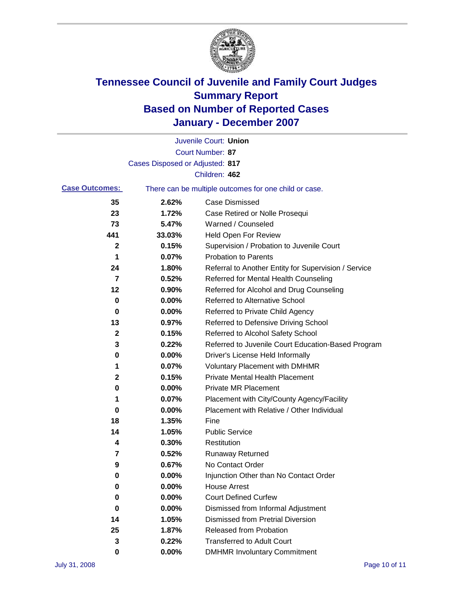

|                       |                                 | Juvenile Court: Union                                 |
|-----------------------|---------------------------------|-------------------------------------------------------|
|                       |                                 | <b>Court Number: 87</b>                               |
|                       | Cases Disposed or Adjusted: 817 |                                                       |
|                       |                                 | Children: 462                                         |
| <b>Case Outcomes:</b> |                                 | There can be multiple outcomes for one child or case. |
| 35                    | 2.62%                           | <b>Case Dismissed</b>                                 |
| 23                    | 1.72%                           | Case Retired or Nolle Prosequi                        |
| 73                    | 5.47%                           | Warned / Counseled                                    |
| 441                   | 33.03%                          | <b>Held Open For Review</b>                           |
| $\mathbf{2}$          | 0.15%                           | Supervision / Probation to Juvenile Court             |
| 1                     | 0.07%                           | <b>Probation to Parents</b>                           |
| 24                    | 1.80%                           | Referral to Another Entity for Supervision / Service  |
| 7                     | 0.52%                           | Referred for Mental Health Counseling                 |
| 12                    | 0.90%                           | Referred for Alcohol and Drug Counseling              |
| 0                     | 0.00%                           | <b>Referred to Alternative School</b>                 |
| 0                     | 0.00%                           | Referred to Private Child Agency                      |
| 13                    | 0.97%                           | Referred to Defensive Driving School                  |
| 2                     | 0.15%                           | Referred to Alcohol Safety School                     |
| 3                     | 0.22%                           | Referred to Juvenile Court Education-Based Program    |
| 0                     | 0.00%                           | Driver's License Held Informally                      |
| 1                     | 0.07%                           | <b>Voluntary Placement with DMHMR</b>                 |
| $\mathbf{2}$          | 0.15%                           | <b>Private Mental Health Placement</b>                |
| 0                     | 0.00%                           | <b>Private MR Placement</b>                           |
| 1                     | 0.07%                           | Placement with City/County Agency/Facility            |
| 0                     | 0.00%                           | Placement with Relative / Other Individual            |
| 18                    | 1.35%                           | Fine                                                  |
| 14                    | 1.05%                           | <b>Public Service</b>                                 |
| 4                     | 0.30%                           | Restitution                                           |
| 7                     | 0.52%                           | <b>Runaway Returned</b>                               |
| 9                     | 0.67%                           | No Contact Order                                      |
| 0                     | $0.00\%$                        | Injunction Other than No Contact Order                |
| 0                     | 0.00%                           | <b>House Arrest</b>                                   |
| 0                     | 0.00%                           | <b>Court Defined Curfew</b>                           |
| 0                     | 0.00%                           | Dismissed from Informal Adjustment                    |
| 14                    | 1.05%                           | <b>Dismissed from Pretrial Diversion</b>              |
| 25                    | 1.87%                           | <b>Released from Probation</b>                        |
| 3                     | 0.22%                           | <b>Transferred to Adult Court</b>                     |
| 0                     | 0.00%                           | <b>DMHMR Involuntary Commitment</b>                   |